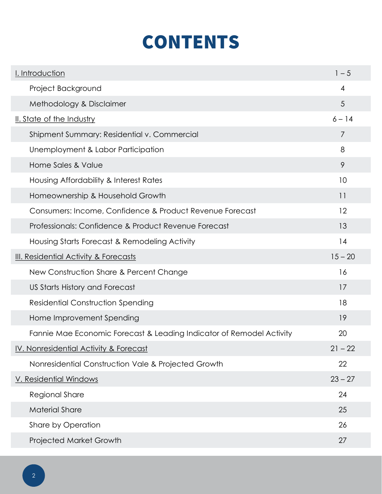## CONTENTS

| I. Introduction                                                      | $1 - 5$         |
|----------------------------------------------------------------------|-----------------|
| Project Background                                                   | $\overline{4}$  |
| Methodology & Disclaimer                                             | $5\overline{)}$ |
| II. State of the Industry                                            | $6 - 14$        |
| Shipment Summary: Residential v. Commercial                          | 7               |
| Unemployment & Labor Participation                                   | 8               |
| Home Sales & Value                                                   | 9               |
| Housing Affordability & Interest Rates                               | 10              |
| Homeownership & Household Growth                                     | 11              |
| Consumers: Income, Confidence & Product Revenue Forecast             | 12              |
| Professionals: Confidence & Product Revenue Forecast                 | 13              |
| Housing Starts Forecast & Remodeling Activity                        | 14              |
| III. Residential Activity & Forecasts                                | $15 - 20$       |
| New Construction Share & Percent Change                              | 16              |
| US Starts History and Forecast                                       | 17              |
| <b>Residential Construction Spending</b>                             | 18              |
| Home Improvement Spending                                            | 19              |
| Fannie Mae Economic Forecast & Leading Indicator of Remodel Activity | 20              |
| IV. Nonresidential Activity & Forecast                               | $21 - 22$       |
| Nonresidential Construction Vale & Projected Growth                  | 22              |
| V. Residential Windows                                               | $23 - 27$       |
| Regional Share                                                       | 24              |
| <b>Material Share</b>                                                | 25              |
| Share by Operation                                                   | 26              |
| Projected Market Growth                                              | 27              |